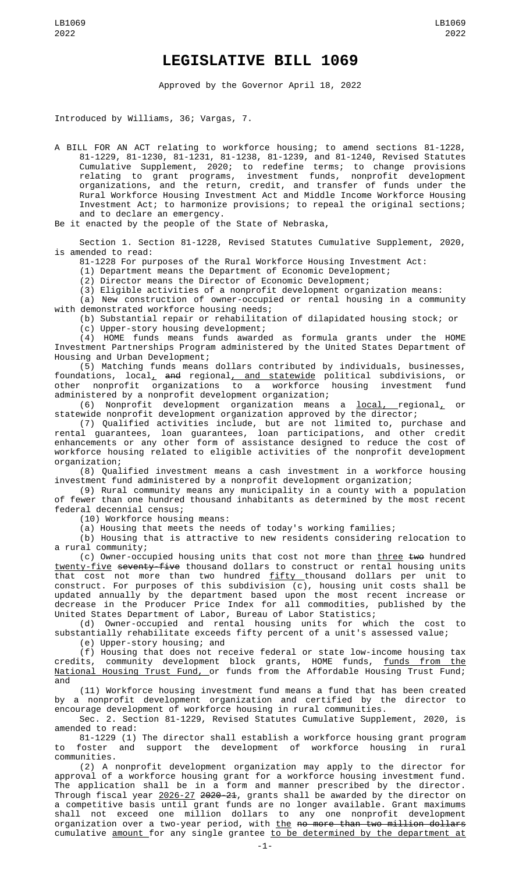## **LEGISLATIVE BILL 1069**

Approved by the Governor April 18, 2022

Introduced by Williams, 36; Vargas, 7.

A BILL FOR AN ACT relating to workforce housing; to amend sections 81-1228, 81-1229, 81-1230, 81-1231, 81-1238, 81-1239, and 81-1240, Revised Statutes Cumulative Supplement, 2020; to redefine terms; to change provisions relating to grant programs, investment funds, nonprofit development organizations, and the return, credit, and transfer of funds under the Rural Workforce Housing Investment Act and Middle Income Workforce Housing Investment Act; to harmonize provisions; to repeal the original sections; and to declare an emergency.

Be it enacted by the people of the State of Nebraska,

Section 1. Section 81-1228, Revised Statutes Cumulative Supplement, 2020, is amended to read:

81-1228 For purposes of the Rural Workforce Housing Investment Act:

(1) Department means the Department of Economic Development;

(2) Director means the Director of Economic Development;

(3) Eligible activities of a nonprofit development organization means:

(a) New construction of owner-occupied or rental housing in a community with demonstrated workforce housing needs;

(b) Substantial repair or rehabilitation of dilapidated housing stock; or (c) Upper-story housing development;

(4) HOME funds means funds awarded as formula grants under the HOME Investment Partnerships Program administered by the United States Department of Housing and Urban Development;

(5) Matching funds means dollars contributed by individuals, businesses, foundations, local, and regional, and statewide political subdivisions, or other nonprofit organizations to a workforce housing investment fund administered by a nonprofit development organization;

(6) Nonprofit development organization means a local, regional, or statewide nonprofit development organization approved by the director;

(7) Qualified activities include, but are not limited to, purchase and rental guarantees, loan guarantees, loan participations, and other credit enhancements or any other form of assistance designed to reduce the cost of workforce housing related to eligible activities of the nonprofit development organization;

(8) Qualified investment means a cash investment in a workforce housing investment fund administered by a nonprofit development organization;

(9) Rural community means any municipality in a county with a population of fewer than one hundred thousand inhabitants as determined by the most recent federal decennial census;

(10) Workforce housing means:

(a) Housing that meets the needs of today's working families;

(b) Housing that is attractive to new residents considering relocation to a rural community;

(c) Owner-occupied housing units that cost not more than three two hundred twenty-five seventy-five thousand dollars to construct or rental housing units that cost not more than two hundred <u>fifty t</u>housand dollars per unit to construct. For purposes of this subdivision (c), housing unit costs shall be updated annually by the department based upon the most recent increase or decrease in the Producer Price Index for all commodities, published by the United States Department of Labor, Bureau of Labor Statistics;

(d) Owner-occupied and rental housing units for which the cost to substantially rehabilitate exceeds fifty percent of a unit's assessed value;

(e) Upper-story housing; and

(f) Housing that does not receive federal or state low-income housing tax credits, community development block grants, HOME funds, <u>funds from the</u> National Housing Trust Fund, or funds from the Affordable Housing Trust Fund; and

(11) Workforce housing investment fund means a fund that has been created by a nonprofit development organization and certified by the director to encourage development of workforce housing in rural communities.

Sec. 2. Section 81-1229, Revised Statutes Cumulative Supplement, 2020, is amended to read:

81-1229 (1) The director shall establish a workforce housing grant program to foster and support the development of workforce housing in rural communities.

(2) A nonprofit development organization may apply to the director for approval of a workforce housing grant for a workforce housing investment fund. The application shall be in a form and manner prescribed by the director. Through fiscal year <u>2026-27</u> <del>2020-21</del>, grants shall be awarded by the director on a competitive basis until grant funds are no longer available. Grant maximums shall not exceed one million dollars to any one nonprofit development organization over a two-year period, with <u>the</u> <del>no more than two million dollars</del> cumulative <u>amount </u>for any single grantee <u>to be determined by the department at</u>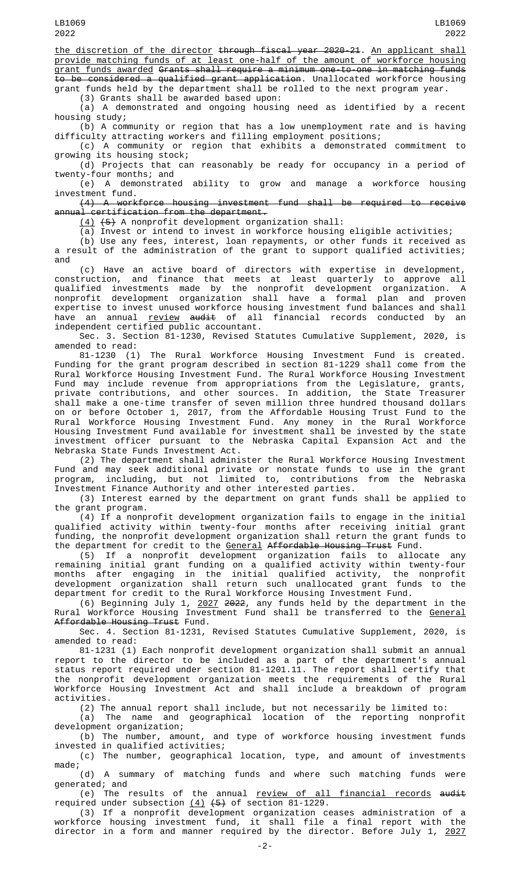the discretion of the director through fiscal year 2020-21. An applicant shall provide matching funds of at least one-half of the amount of workforce housing grant funds awarded Grants shall require a minimum one-to-one in matching funds to be considered a qualified grant application. Unallocated workforce housing grant funds held by the department shall be rolled to the next program year.

(3) Grants shall be awarded based upon:

(a) A demonstrated and ongoing housing need as identified by a recent housing study;

(b) A community or region that has a low unemployment rate and is having difficulty attracting workers and filling employment positions;

(c) A community or region that exhibits a demonstrated commitment to growing its housing stock;

(d) Projects that can reasonably be ready for occupancy in a period of twenty-four months; and

(e) A demonstrated ability to grow and manage a workforce housing investment fund.

(4) A workforce housing investment fund shall be required to receive annual certification from the department.

(4) (5) A nonprofit development organization shall:

(a) Invest or intend to invest in workforce housing eligible activities;

(b) Use any fees, interest, loan repayments, or other funds it received as a result of the administration of the grant to support qualified activities; and

(c) Have an active board of directors with expertise in development, construction, and finance that meets at least quarterly to approve all qualified investments made by the nonprofit development organization. A nonprofit development organization shall have a formal plan and proven expertise to invest unused workforce housing investment fund balances and shall have an annual review audit of all financial records conducted by an independent certified public accountant.

Sec. 3. Section 81-1230, Revised Statutes Cumulative Supplement, 2020, is amended to read:

81-1230 (1) The Rural Workforce Housing Investment Fund is created. Funding for the grant program described in section 81-1229 shall come from the Rural Workforce Housing Investment Fund. The Rural Workforce Housing Investment Fund may include revenue from appropriations from the Legislature, grants, private contributions, and other sources. In addition, the State Treasurer shall make a one-time transfer of seven million three hundred thousand dollars on or before October 1, 2017, from the Affordable Housing Trust Fund to the Rural Workforce Housing Investment Fund. Any money in the Rural Workforce Housing Investment Fund available for investment shall be invested by the state investment officer pursuant to the Nebraska Capital Expansion Act and the Nebraska State Funds Investment Act.

(2) The department shall administer the Rural Workforce Housing Investment Fund and may seek additional private or nonstate funds to use in the grant program, including, but not limited to, contributions from the Nebraska Investment Finance Authority and other interested parties.

(3) Interest earned by the department on grant funds shall be applied to the grant program.

(4) If a nonprofit development organization fails to engage in the initial qualified activity within twenty-four months after receiving initial grant funding, the nonprofit development organization shall return the grant funds to the department for credit to the General Affordable Housing Trust Fund.

(5) If a nonprofit development organization fails to allocate any remaining initial grant funding on a qualified activity within twenty-four months after engaging in the initial qualified activity, the nonprofit development organization shall return such unallocated grant funds to the department for credit to the Rural Workforce Housing Investment Fund.

(6) Beginning July 1, 2027 2022, any funds held by the department in the Rural Workforce Housing Investment Fund shall be transferred to the <u>General</u> Affordable Housing Trust Fund.

Sec. 4. Section 81-1231, Revised Statutes Cumulative Supplement, 2020, is amended to read:

81-1231 (1) Each nonprofit development organization shall submit an annual report to the director to be included as a part of the department's annual status report required under section 81-1201.11. The report shall certify that the nonprofit development organization meets the requirements of the Rural Workforce Housing Investment Act and shall include a breakdown of program activities.

(2) The annual report shall include, but not necessarily be limited to: (a) The name and geographical location of the reporting nonprofit

development organization; (b) The number, amount, and type of workforce housing investment funds invested in qualified activities;

(c) The number, geographical location, type, and amount of investments

made;<br>(d) A summary of matching funds and where such matching funds were generated; and

(e) The results of the annual <u>review of all financial records</u> <del>audit</del> required under subsection  $(4)$   $(5)$  of section 81-1229.

(3) If a nonprofit development organization ceases administration of a workforce housing investment fund, it shall file a final report with the director in a form and manner required by the director. Before July 1, 2027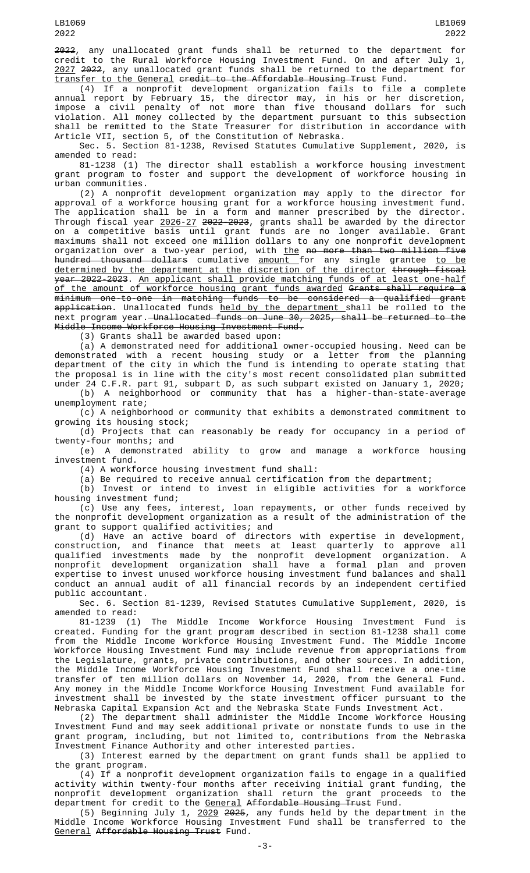2022, any unallocated grant funds shall be returned to the department for credit to the Rural Workforce Housing Investment Fund. On and after July 1, 2027 2022, any unallocated grant funds shall be returned to the department for transfer to the General credit to the Affordable Housing Trust Fund.

(4) If a nonprofit development organization fails to file a complete annual report by February 15, the director may, in his or her discretion, impose a civil penalty of not more than five thousand dollars for such violation. All money collected by the department pursuant to this subsection shall be remitted to the State Treasurer for distribution in accordance with Article VII, section 5, of the Constitution of Nebraska.

Sec. 5. Section 81-1238, Revised Statutes Cumulative Supplement, 2020, is amended to read:

81-1238 (1) The director shall establish a workforce housing investment grant program to foster and support the development of workforce housing in urban communities.

(2) A nonprofit development organization may apply to the director for approval of a workforce housing grant for a workforce housing investment fund. The application shall be in a form and manner prescribed by the director. Through fiscal year <u>2026-27</u> <del>2022-2023</del>, grants shall be awarded by the director on a competitive basis until grant funds are no longer available. Grant maximums shall not exceed one million dollars to any one nonprofit development organization over a two-year period, with <u>the</u> <del>no more than two million five</del> <del>hundred thousand dollars</del> cumulative <u>amount f</u>or any single grantee <u>to be</u> determined by the department at the discretion of the director through fiscal year 2022-2023. An applicant shall provide matching funds of at least one-half of the amount of workforce housing grant funds awarded Grants shall require a minimum one-to-one in matching funds to be considered a qualified grant <del>application</del>. Unallocated funds <u>held by the department s</u>hall be rolled to the next program year. Unallocated funds on June 30, 2025, shall be returned to the Middle Income Workforce Housing Investment Fund.

(3) Grants shall be awarded based upon:

(a) A demonstrated need for additional owner-occupied housing. Need can be demonstrated with a recent housing study or a letter from the planning department of the city in which the fund is intending to operate stating that the proposal is in line with the city's most recent consolidated plan submitted under 24 C.F.R. part 91, subpart D, as such subpart existed on January 1, 2020;

(b) A neighborhood or community that has a higher-than-state-average unemployment rate; (c) A neighborhood or community that exhibits a demonstrated commitment to

growing its housing stock;

(d) Projects that can reasonably be ready for occupancy in a period of twenty-four months; and

(e) A demonstrated ability to grow and manage a workforce housing investment fund.

(4) A workforce housing investment fund shall:

(a) Be required to receive annual certification from the department;

(b) Invest or intend to invest in eligible activities for a workforce housing investment fund;

(c) Use any fees, interest, loan repayments, or other funds received by the nonprofit development organization as a result of the administration of the grant to support qualified activities; and

(d) Have an active board of directors with expertise in development, construction, and finance that meets at least quarterly to approve all qualified investments made by the nonprofit development organization. A nonprofit development organization shall have a formal plan and proven expertise to invest unused workforce housing investment fund balances and shall conduct an annual audit of all financial records by an independent certified public accountant.

Sec. 6. Section 81-1239, Revised Statutes Cumulative Supplement, 2020, is amended to read:

81-1239 (1) The Middle Income Workforce Housing Investment Fund is created. Funding for the grant program described in section 81-1238 shall come from the Middle Income Workforce Housing Investment Fund. The Middle Income Workforce Housing Investment Fund may include revenue from appropriations from the Legislature, grants, private contributions, and other sources. In addition, the Middle Income Workforce Housing Investment Fund shall receive a one-time transfer of ten million dollars on November 14, 2020, from the General Fund. Any money in the Middle Income Workforce Housing Investment Fund available for investment shall be invested by the state investment officer pursuant to the Nebraska Capital Expansion Act and the Nebraska State Funds Investment Act.

(2) The department shall administer the Middle Income Workforce Housing Investment Fund and may seek additional private or nonstate funds to use in the grant program, including, but not limited to, contributions from the Nebraska Investment Finance Authority and other interested parties.

(3) Interest earned by the department on grant funds shall be applied to the grant program.

(4) If a nonprofit development organization fails to engage in a qualified activity within twenty-four months after receiving initial grant funding, the nonprofit development organization shall return the grant proceeds to the department for credit to the <u>General</u> A<del>ffordable Housing Trust</del> Fund.

(5) Beginning July 1, 2029 2025, any funds held by the department in the Middle Income Workforce Housing Investment Fund shall be transferred to the General Affordable Housing Trust Fund.